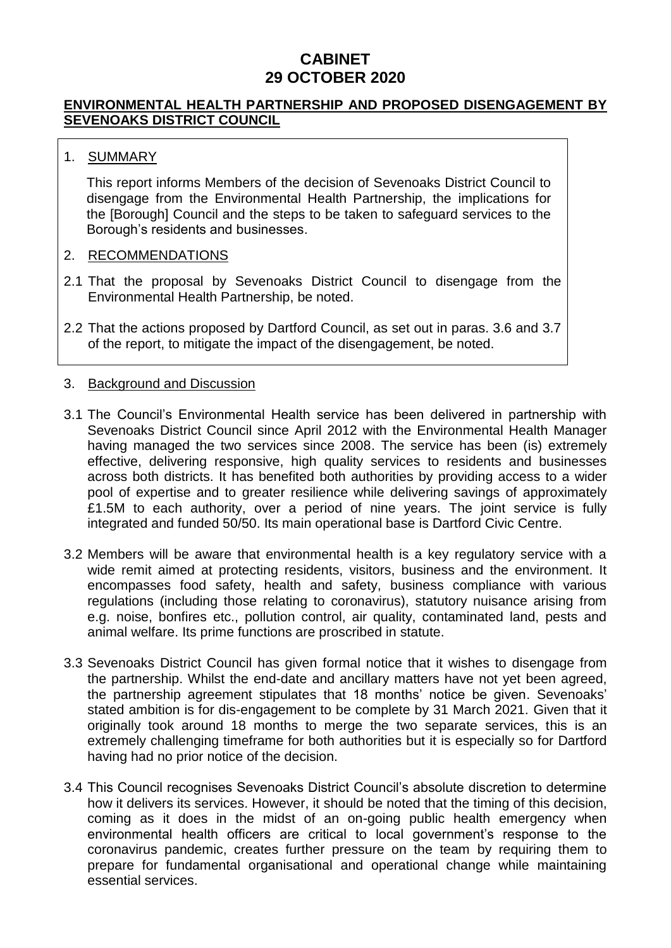## **CABINET 29 OCTOBER 2020**

#### **ENVIRONMENTAL HEALTH PARTNERSHIP AND PROPOSED DISENGAGEMENT BY SEVENOAKS DISTRICT COUNCIL**

#### 1. SUMMARY

This report informs Members of the decision of Sevenoaks District Council to disengage from the Environmental Health Partnership, the implications for the [Borough] Council and the steps to be taken to safeguard services to the Borough's residents and businesses.

#### 2. RECOMMENDATIONS

- 2.1 That the proposal by Sevenoaks District Council to disengage from the Environmental Health Partnership, be noted.
- 2.2 That the actions proposed by Dartford Council, as set out in paras. 3.6 and 3.7 of the report, to mitigate the impact of the disengagement, be noted.

#### 3. Background and Discussion

- 3.1 The Council's Environmental Health service has been delivered in partnership with Sevenoaks District Council since April 2012 with the Environmental Health Manager having managed the two services since 2008. The service has been (is) extremely effective, delivering responsive, high quality services to residents and businesses across both districts. It has benefited both authorities by providing access to a wider pool of expertise and to greater resilience while delivering savings of approximately £1.5M to each authority, over a period of nine years. The joint service is fully integrated and funded 50/50. Its main operational base is Dartford Civic Centre.
- 3.2 Members will be aware that environmental health is a key regulatory service with a wide remit aimed at protecting residents, visitors, business and the environment. It encompasses food safety, health and safety, business compliance with various regulations (including those relating to coronavirus), statutory nuisance arising from e.g. noise, bonfires etc., pollution control, air quality, contaminated land, pests and animal welfare. Its prime functions are proscribed in statute.
- 3.3 Sevenoaks District Council has given formal notice that it wishes to disengage from the partnership. Whilst the end-date and ancillary matters have not yet been agreed, the partnership agreement stipulates that 18 months' notice be given. Sevenoaks' stated ambition is for dis-engagement to be complete by 31 March 2021. Given that it originally took around 18 months to merge the two separate services, this is an extremely challenging timeframe for both authorities but it is especially so for Dartford having had no prior notice of the decision.
- 3.4 This Council recognises Sevenoaks District Council's absolute discretion to determine how it delivers its services. However, it should be noted that the timing of this decision, coming as it does in the midst of an on-going public health emergency when environmental health officers are critical to local government's response to the coronavirus pandemic, creates further pressure on the team by requiring them to prepare for fundamental organisational and operational change while maintaining essential services.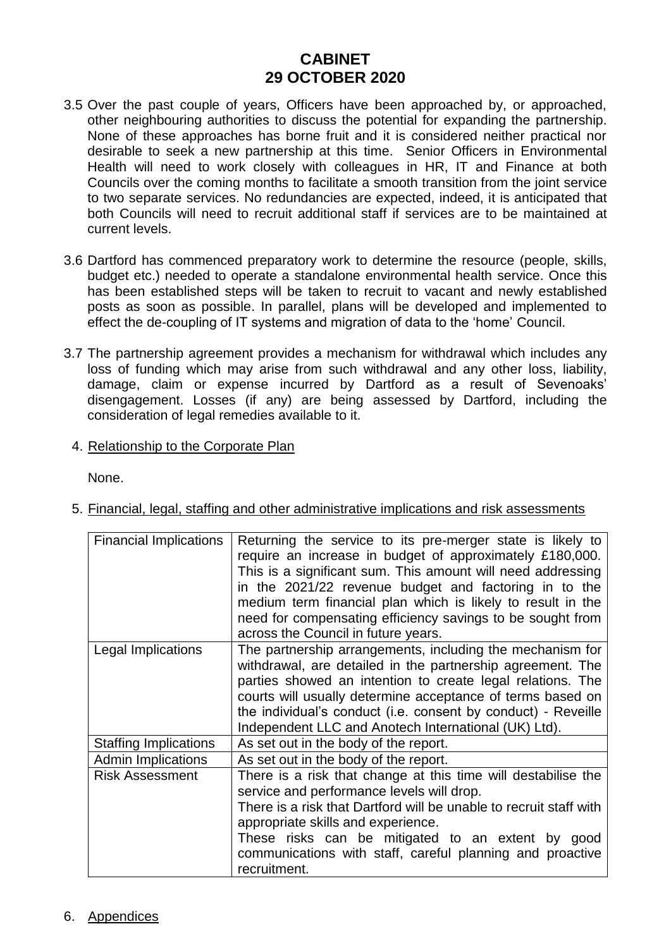## **CABINET 29 OCTOBER 2020**

- 3.5 Over the past couple of years, Officers have been approached by, or approached, other neighbouring authorities to discuss the potential for expanding the partnership. None of these approaches has borne fruit and it is considered neither practical nor desirable to seek a new partnership at this time. Senior Officers in Environmental Health will need to work closely with colleagues in HR, IT and Finance at both Councils over the coming months to facilitate a smooth transition from the joint service to two separate services. No redundancies are expected, indeed, it is anticipated that both Councils will need to recruit additional staff if services are to be maintained at current levels.
- 3.6 Dartford has commenced preparatory work to determine the resource (people, skills, budget etc.) needed to operate a standalone environmental health service. Once this has been established steps will be taken to recruit to vacant and newly established posts as soon as possible. In parallel, plans will be developed and implemented to effect the de-coupling of IT systems and migration of data to the 'home' Council.
- 3.7 The partnership agreement provides a mechanism for withdrawal which includes any loss of funding which may arise from such withdrawal and any other loss, liability, damage, claim or expense incurred by Dartford as a result of Sevenoaks' disengagement. Losses (if any) are being assessed by Dartford, including the consideration of legal remedies available to it.
	- 4. Relationship to the Corporate Plan

None.

| <b>Financial Implications</b> | Returning the service to its pre-merger state is likely to<br>require an increase in budget of approximately £180,000.<br>This is a significant sum. This amount will need addressing<br>in the 2021/22 revenue budget and factoring in to the<br>medium term financial plan which is likely to result in the<br>need for compensating efficiency savings to be sought from<br>across the Council in future years. |
|-------------------------------|--------------------------------------------------------------------------------------------------------------------------------------------------------------------------------------------------------------------------------------------------------------------------------------------------------------------------------------------------------------------------------------------------------------------|
| Legal Implications            | The partnership arrangements, including the mechanism for<br>withdrawal, are detailed in the partnership agreement. The<br>parties showed an intention to create legal relations. The<br>courts will usually determine acceptance of terms based on<br>the individual's conduct (i.e. consent by conduct) - Reveille<br>Independent LLC and Anotech International (UK) Ltd).                                       |
| <b>Staffing Implications</b>  | As set out in the body of the report.                                                                                                                                                                                                                                                                                                                                                                              |
| <b>Admin Implications</b>     | As set out in the body of the report.                                                                                                                                                                                                                                                                                                                                                                              |
| <b>Risk Assessment</b>        | There is a risk that change at this time will destabilise the<br>service and performance levels will drop.<br>There is a risk that Dartford will be unable to recruit staff with<br>appropriate skills and experience.<br>These risks can be mitigated to an extent by good<br>communications with staff, careful planning and proactive<br>recruitment.                                                           |

5. Financial, legal, staffing and other administrative implications and risk assessments